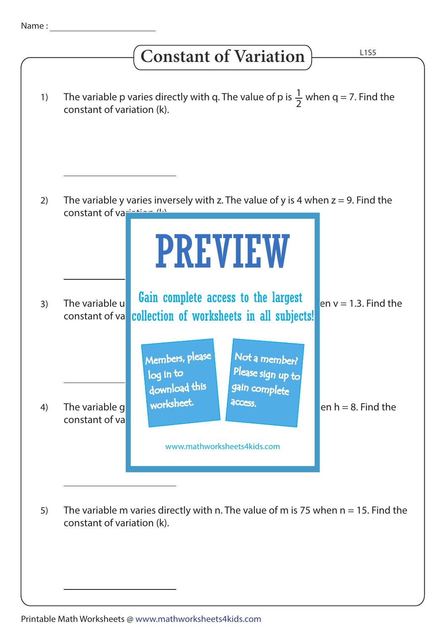## **Constant of Variation**

| 1) | The variable p varies directly with q. The value of p is $\frac{1}{2}$ when q = 7. Find the<br>constant of variation (k).                                                                   |
|----|---------------------------------------------------------------------------------------------------------------------------------------------------------------------------------------------|
| 2) | The variable y varies inversely with z. The value of y is 4 when $z = 9$ . Find the<br>constant of variation (b)                                                                            |
|    | <b>PREVIEW</b>                                                                                                                                                                              |
| 3) | Gain complete access to the largest<br>The variable u<br>en $v = 1.3$ . Find the<br>collection of worksheets in all subjects!<br>constant of va                                             |
| 4) | Members, please<br>Not a member?<br>Please sign up to<br>log in to<br>download this<br>gain complete<br>worksheet.<br>access.<br>en $h = 8$ . Find the<br>The variable g<br>constant of val |
|    | www.mathworksheets4kids.com                                                                                                                                                                 |
| 5) | The variable m varies directly with n. The value of m is 75 when $n = 15$ . Find the<br>constant of variation (k).                                                                          |